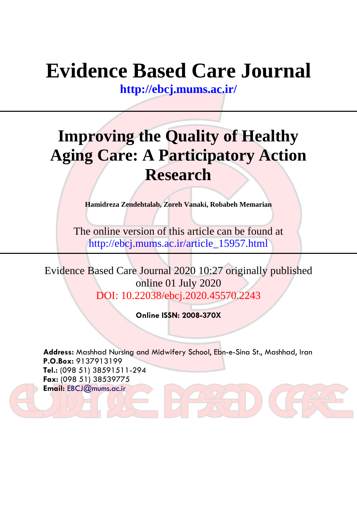# **Evidence Based Care Journal**

**<http://ebcj.mums.ac.ir/>**

# **Improving the Quality of Healthy Aging Care: A Participatory Action Research**

**Hamidreza Zendehtalab, Zoreh Vanaki, Robabeh Memarian**

The online version of this article can be found at http://ebcj.mums.ac.ir/article\_15957.html

Evidence Based Care Journal 2020 10:27 originally published online 01 July 2020 DOI: 10.22038/ebcj.2020.45570.2243

**Online ISSN: 2008-370X**

**Address:** Mashhad Nursing and Midwifery School, Ebn-e-Sina St., Mashhad, Iran **P.O.Box:** 9137913199 **Tel.:** (098 51) 38591511-294 **Fax:** (098 51) 38539775 **Email:** [EBCJ@mums.ac.ir](mailto:EBCJ@mums.ac.ir)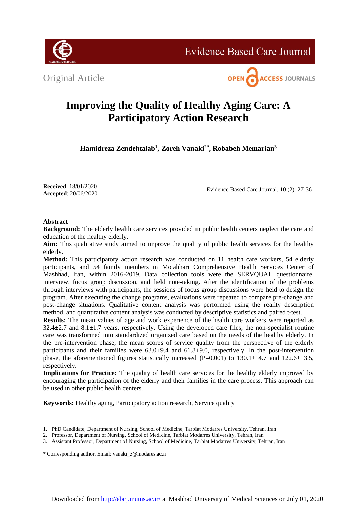Original Article





# **Improving the Quality of Healthy Aging Care: A Participatory Action Research**

**Hamidreza Zendehtalab<sup>1</sup> , Zoreh Vanaki2\* , Robabeh Memarian<sup>3</sup>**

**Received**: 18/01/2020 **Accepted**: 20/06/2020

Evidence Based Care Journal, 10 (2): 27-36

# **Abstract**

**Background:** The elderly health care services provided in public health centers neglect the care and education of the healthy elderly.

**Aim:** This qualitative study aimed to improve the quality of public health services for the healthy elderly.

**Method:** This participatory action research was conducted on 11 health care workers, 54 elderly participants, and 54 family members in Motahhari Comprehensive Health Services Center of Mashhad, Iran, within 2016-2019. Data collection tools were the SERVQUAL questionnaire, interview, focus group discussion, and field note-taking. After the identification of the problems through interviews with participants, the sessions of focus group discussions were held to design the program. After executing the change programs, evaluations were repeated to compare pre-change and post-change situations. Qualitative content analysis was performed using the reality description method, and quantitative content analysis was conducted by descriptive statistics and paired t-test.

**Results:** The mean values of age and work experience of the health care workers were reported as  $32.4\pm2.7$  and  $8.1\pm1.7$  years, respectively. Using the developed care files, the non-specialist routine care was transformed into standardized organized care based on the needs of the healthy elderly. In the pre-intervention phase, the mean scores of service quality from the perspective of the elderly participants and their families were 63.0±9.4 and 61.8±9.0, respectively. In the post-intervention phase, the aforementioned figures statistically increased (P=0.001) to 130.1 $\pm$ 14.7 and 122.6 $\pm$ 13.5, respectively.

**Implications for Practice:** The quality of health care services for the healthy elderly improved by encouraging the participation of the elderly and their families in the care process. This approach can be used in other public health centers.

**Keywords:** Healthy aging, Participatory action research, Service quality

<sup>1.</sup> PhD Candidate, Department of Nursing, School of Medicine, Tarbiat Modarres University, Tehran, Iran

<sup>2.</sup> Professor, Department of Nursing, School of Medicine, Tarbiat Modarres University, Tehran, Iran

<sup>3.</sup> Assistant Professor, Department of Nursing, School of Medicine, Tarbiat Modarres University, Tehran, Iran

<sup>\*</sup> Corresponding author, Email: vanaki\_z@modares.ac.ir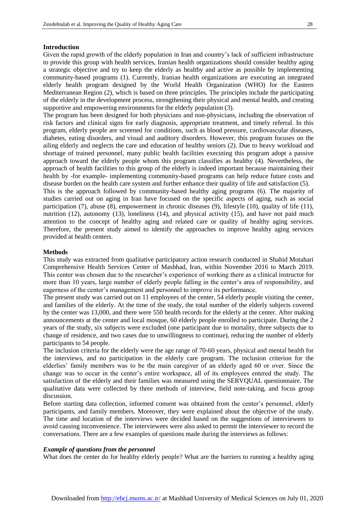#### **Introduction**

Given the rapid growth of the elderly population in Iran and country's lack of sufficient infrastructure to provide this group with health services, Iranian health organizations should consider healthy aging a strategic objective and try to keep the elderly as healthy and active as possible by implementing community-based programs (1). Currently, Iranian health organizations are executing an integrated elderly health program designed by the World Health Organization (WHO) for the Eastern Mediterranean Region (2), which is based on three principles. The principles include the participating of the elderly in the development process, strengthening their physical and mental health, and creating supportive and empowering environments for the elderly population (3).

The program has been designed for both physicians and non-physicians, including the observation of risk factors and clinical signs for early diagnosis, appropriate treatment, and timely referral. In this program, elderly people are screened for conditions, such as blood pressure, cardiovascular diseases, diabetes, eating disorders, and visual and auditory disorders. However, this program focuses on the ailing elderly and neglects the care and education of healthy seniors (2). Due to heavy workload and shortage of trained personnel, many public health facilities executing this program adopt a passive approach toward the elderly people whom this program classifies as healthy (4). Nevertheless, the approach of health facilities to this group of the elderly is indeed important because maintaining their health by -for example- implementing community-based programs can help reduce future costs and disease burden on the health care system and further enhance their quality of life and satisfaction (5).

This is the approach followed by community-based healthy aging programs (6). The majority of studies carried out on aging in Iran have focused on the specific aspects of aging, such as social participation (7), abuse (8), empowerment in chronic diseases (9), lifestyle (10), quality of life (11), nutrition (12), autonomy (13), loneliness (14), and physical activity (15), and have not paid much attention to the concept of healthy aging and related care or quality of healthy aging services. Therefore, the present study aimed to identify the approaches to improve healthy aging services provided at health centers.

#### **Methods**

This study was extracted from qualitative participatory action research conducted in Shahid Motahari Comprehensive Health Services Center of Mashhad, Iran, within November 2016 to March 2019. This center was chosen due to the researcher's experience of working there as a clinical instructor for more than 10 years, large number of elderly people falling in the center's area of responsibility, and eagerness of the center's management and personnel to improve its performance.

The present study was carried out on 11 employees of the center, 54 elderly people visiting the center, and families of the elderly. At the time of the study, the total number of the elderly subjects covered by the center was 13,000, and there were 550 health records for the elderly at the center. After making announcements at the center and local mosque, 60 elderly people enrolled to participate. During the 2 years of the study, six subjects were excluded (one participant due to mortality, three subjects due to change of residence, and two cases due to unwillingness to continue), reducing the number of elderly participants to 54 people.

The inclusion criteria for the elderly were the age range of 70-60 years, physical and mental health for the interviews, and no participation in the elderly care program. The inclusion criterion for the elderlies' family members was to be the main caregiver of an elderly aged 60 or over. Since the change was to occur in the center's entire workspace, all of its employees entered the study. The satisfaction of the elderly and their families was measured using the SERVQUAL questionnaire. The qualitative data were collected by three methods of interview, field note-taking, and focus group discussion.

Before starting data collection, informed consent was obtained from the center's personnel, elderly participants, and family members. Moreover, they were explained about the objective of the study. The time and location of the interviews were decided based on the suggestions of interviewees to avoid causing inconvenience. The interviewees were also asked to permit the interviewer to record the conversations. There are a few examples of questions made during the interviews as follows:

#### *Example of questions from the personnel*

What does the center do for healthy elderly people? What are the barriers to running a healthy aging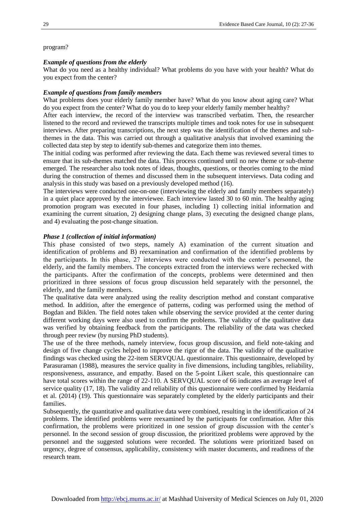# program?

# *Example of questions from the elderly*

What do you need as a healthy individual? What problems do you have with your health? What do you expect from the center?

# *Example of questions from family members*

What problems does your elderly family member have? What do you know about aging care? What do you expect from the center? What do you do to keep your elderly family member healthy?

After each interview, the record of the interview was transcribed verbatim. Then, the researcher listened to the record and reviewed the transcripts multiple times and took notes for use in subsequent interviews. After preparing transcriptions, the next step was the identification of the themes and subthemes in the data. This was carried out through a qualitative analysis that involved examining the collected data step by step to identify sub-themes and categorize them into themes.

The initial coding was performed after reviewing the data. Each theme was reviewed several times to ensure that its sub-themes matched the data. This process continued until no new theme or sub-theme emerged. The researcher also took notes of ideas, thoughts, questions, or theories coming to the mind during the construction of themes and discussed them in the subsequent interviews. Data coding and analysis in this study was based on a previously developed method (16).

The interviews were conducted one-on-one (interviewing the elderly and family members separately) in a quiet place approved by the interviewee. Each interview lasted 30 to 60 min. The healthy aging promotion program was executed in four phases, including 1) collecting initial information and examining the current situation, 2) designing change plans, 3) executing the designed change plans, and 4) evaluating the post-change situation.

# *Phase 1 (collection of initial information)*

This phase consisted of two steps, namely A) examination of the current situation and identification of problems and B) reexamination and confirmation of the identified problems by the participants. In this phase, 27 interviews were conducted with the center's personnel, the elderly, and the family members. The concepts extracted from the interviews were rechecked with the participants. After the confirmation of the concepts, problems were determined and then prioritized in three sessions of focus group discussion held separately with the personnel, the elderly, and the family members.

The qualitative data were analyzed using the reality description method and constant comparative method. In addition, after the emergence of patterns, coding was performed using the method of Bogdan and Biklen. The field notes taken while observing the service provided at the center during different working days were also used to confirm the problems. The validity of the qualitative data was verified by obtaining feedback from the participants. The reliability of the data was checked through peer review (by nursing PhD students).

The use of the three methods, namely interview, focus group discussion, and field note-taking and design of five change cycles helped to improve the rigor of the data. The validity of the qualitative findings was checked using the 22-item SERVQUAL questionnaire. This questionnaire, developed by Parasuraman (1988), measures the service quality in five dimensions, including tangibles, reliability, responsiveness, assurance, and empathy. Based on the 5-point Likert scale, this questionnaire can have total scores within the range of 22-110. A SERVQUAL score of 66 indicates an average level of service quality (17, 18). The validity and reliability of this questionnaire were confirmed by Heidarnia et al. (2014) (19). This questionnaire was separately completed by the elderly participants and their families.

Subsequently, the quantitative and qualitative data were combined, resulting in the identification of 24 problems. The identified problems were reexamined by the participants for confirmation. After this confirmation, the problems were prioritized in one session of group discussion with the center's personnel. In the second session of group discussion, the prioritized problems were approved by the personnel and the suggested solutions were recorded. The solutions were prioritized based on urgency, degree of consensus, applicability, consistency with master documents, and readiness of the research team.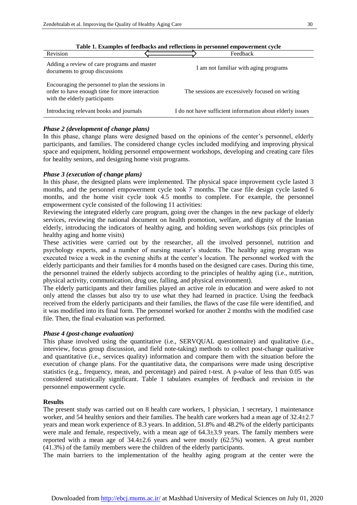| Revision                                                                                                                             | Feedback                                                  |
|--------------------------------------------------------------------------------------------------------------------------------------|-----------------------------------------------------------|
| Adding a review of care programs and master<br>documents to group discussions                                                        | I am not familiar with aging programs                     |
| Encouraging the personnel to plan the sessions in<br>order to have enough time for more interaction<br>with the elderly participants | The sessions are excessively focused on writing           |
| Introducing relevant books and journals                                                                                              | I do not have sufficient information about elderly issues |

**Table 1. Examples of feedbacks and reflections in personnel empowerment cycle**

# *Phase 2 (development of change plans)*

In this phase, change plans were designed based on the opinions of the center's personnel, elderly participants, and families. The considered change cycles included modifying and improving physical space and equipment, holding personnel empowerment workshops, developing and creating care files for healthy seniors, and designing home visit programs.

# *Phase 3 (execution of change plans)*

In this phase, the designed plans were implemented. The physical space improvement cycle lasted 3 months, and the personnel empowerment cycle took 7 months. The case file design cycle lasted 6 months, and the home visit cycle took 4.5 months to complete. For example, the personnel empowerment cycle consisted of the following 11 activities:

Reviewing the integrated elderly care program, going over the changes in the new package of elderly services, reviewing the national document on health promotion, welfare, and dignity of the Iranian elderly, introducing the indicators of healthy aging, and holding seven workshops (six principles of healthy aging and home visits)

These activities were carried out by the researcher, all the involved personnel, nutrition and psychology experts, and a number of nursing master's students. The healthy aging program was executed twice a week in the evening shifts at the center's location. The personnel worked with the elderly participants and their families for 4 months based on the designed care cases. During this time, the personnel trained the elderly subjects according to the principles of healthy aging (i.e., nutrition, physical activity, communication, drug use, falling, and physical environment).

The elderly participants and their families played an active role in education and were asked to not only attend the classes but also try to use what they had learned in practice. Using the feedback received from the elderly participants and their families, the flaws of the case file were identified, and it was modified into its final form. The personnel worked for another 2 months with the modified case file. Then, the final evaluation was performed.

## *Phase 4 (post-change evaluation)*

This phase involved using the quantitative (i.e., SERVQUAL questionnaire) and qualitative (i.e., interview, focus group discussion, and field note-taking) methods to collect post-change qualitative and quantitative (i.e., services quality) information and compare them with the situation before the execution of change plans. For the quantitative data, the comparisons were made using descriptive statistics (e.g., frequency, mean, and percentage) and paired t-test. A p-value of less than 0.05 was considered statistically significant. Table 1 tabulates examples of feedback and revision in the personnel empowerment cycle.

## **Results**

The present study was carried out on 8 health care workers, 1 physician, 1 secretary, 1 maintenance worker, and 54 healthy seniors and their families. The health care workers had a mean age of  $32.4 \pm 2.7$ years and mean work experience of 8.3 years. In addition, 51.8% and 48.2% of the elderly participants were male and female, respectively, with a mean age of  $64.3\pm3.9$  years. The family members were reported with a mean age of  $34.4\pm2.6$  years and were mostly  $(62.5\%)$  women. A great number  $(41.3%)$  of the family members were the children of the elderly participants.

The main barriers to the implementation of the healthy aging program at the center were the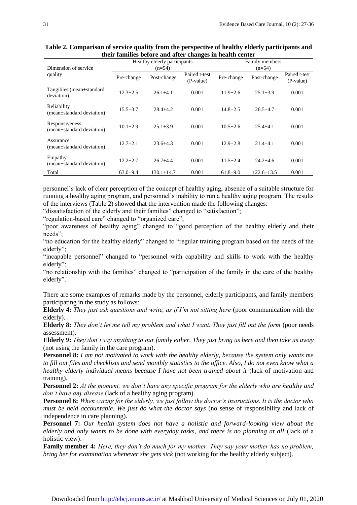**Table 2. Comparison of service quality from the perspective of healthy elderly participants and their families before and after changes in health center**

| Dimension of service                        | Healthy elderly participants<br>$(n=54)$ |                  |                            | Family members<br>$(n=54)$ |                  |                            |
|---------------------------------------------|------------------------------------------|------------------|----------------------------|----------------------------|------------------|----------------------------|
| quality                                     | Pre-change                               | Post-change      | Paired t-test<br>(P-value) | Pre-change                 | Post-change      | Paired t-test<br>(P-value) |
| Tangibles (mean±standard<br>deviation)      | $12.3 + 2.5$                             | $26.1 + 4.1$     | 0.001                      | $11.9 + 2.6$               | $25.1 \pm 3.9$   | 0.001                      |
| Reliability<br>(mean±standard deviation)    | $15.5 + 3.7$                             | $28.4 + 4.2$     | 0.001                      | $14.8 + 2.5$               | $26.5 + 4.7$     | 0.001                      |
| Responsiveness<br>(mean±standard deviation) | $10.1 + 2.9$                             | $25.1 \pm 3.9$   | 0.001                      | $10.5 + 2.6$               | $25.4 + 4.1$     | 0.001                      |
| Assurance<br>(mean±standard deviation)      | $12.7 + 2.1$                             | $23.6 + 4.3$     | 0.001                      | $12.9 + 2.8$               | $21.4 + 4.1$     | 0.001                      |
| Empathy<br>(mean±standard deviation)        | $12.2 + 2.7$                             | $26.7 + 4.4$     | 0.001                      | $11.5 + 2.4$               | $24.2 + 4.6$     | 0.001                      |
| Total                                       | $63.0+9.4$                               | $130.1 \pm 14.7$ | 0.001                      | $61.8 \pm 9.0$             | $122.6 \pm 13.5$ | 0.001                      |

personnel's lack of clear perception of the concept of healthy aging, absence of a suitable structure for running a healthy aging program, and personnel's inability to run a healthy aging program. The results of the interviews (Table 2) showed that the intervention made the following changes:

"dissatisfaction of the elderly and their families" changed to "satisfaction";

"regulation-based care" changed to "organized care";

"poor awareness of healthy aging" changed to "good perception of the healthy elderly and their needs";

"no education for the healthy elderly" changed to "regular training program based on the needs of the elderly";

"incapable personnel" changed to "personnel with capability and skills to work with the healthy elderly";

"no relationship with the families" changed to "participation of the family in the care of the healthy elderly".

There are some examples of remarks made by the personnel, elderly participants, and family members participating in the study as follows:

**Elderly 4:** *They just ask questions and write, as if I'm not sitting here* (poor communication with the elderly).

**Elderly 8:** *They don't let me tell my problem and what I want. They just fill out the form* (poor needs assessment).

**Elderly 9:** *They don't say anything to our family either. They just bring us here and then take us away*  (not using the family in the care program).

**Personnel 8:** *I am not motivated to work with the healthy elderly, because the system only wants me to fill out files and checklists and send monthly statistics to the office. Also, I do not even know what a healthy elderly individual means because I have not been trained about it* (lack of motivation and training).

**Personnel 2:** *At the moment, we don't have any specific program for the elderly who are healthy and don't have any disease* (lack of a healthy aging program).

**Personnel 6:** *When caring for the elderly, we just follow the doctor's instructions. It is the doctor who must be held accountable. We just do what the doctor says* (no sense of responsibility and lack of independence in care planning).

**Personnel 7:** *Our health system does not have a holistic and forward-looking view about the elderly and only wants to be done with everyday tasks, and there is no planning at all* (lack of a holistic view).

**Family member 4:** *Here, they don't do much for my mother. They say your mother has no problem, bring her for examination whenever she gets sick* (not working for the healthy elderly subject).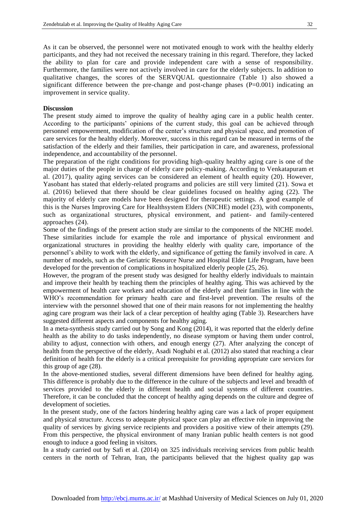As it can be observed, the personnel were not motivated enough to work with the healthy elderly participants, and they had not received the necessary training in this regard. Therefore, they lacked the ability to plan for care and provide independent care with a sense of responsibility. Furthermore, the families were not actively involved in care for the elderly subjects. In addition to qualitative changes, the scores of the SERVQUAL questionnaire (Table 1) also showed a significant difference between the pre-change and post-change phases (P=0.001) indicating an improvement in service quality.

## **Discussion**

The present study aimed to improve the quality of healthy aging care in a public health center. According to the participants' opinions of the current study, this goal can be achieved through personnel empowerment, modification of the center's structure and physical space, and promotion of care services for the healthy elderly. Moreover, success in this regard can be measured in terms of the satisfaction of the elderly and their families, their participation in care, and awareness, professional independence, and accountability of the personnel.

The preparation of the right conditions for providing high-quality healthy aging care is one of the major duties of the people in charge of elderly care policy-making. According to Venkatapuram et al. (2017), quality aging services can be considered an element of health equity (20). However, Yasobant has stated that elderly-related programs and policies are still very limited (21). Sowa et al. (2016) believed that there should be clear guidelines focused on healthy aging (22). The majority of elderly care models have been designed for therapeutic settings. A good example of this is the Nurses Improving Care for Healthsystem Elders (NICHE) model (23), with components, such as organizational structures, physical environment, and patient- and family-centered approaches (24).

Some of the findings of the present action study are similar to the components of the NICHE model. These similarities include for example the role and importance of physical environment and organizational structures in providing the healthy elderly with quality care, importance of the personnel's ability to work with the elderly, and significance of getting the family involved in care. A number of models, such as the Geriatric Resource Nurse and Hospital Elder Life Program, have been developed for the prevention of complications in hospitalized elderly people (25, 26).

However, the program of the present study was designed for healthy elderly individuals to maintain and improve their health by teaching them the principles of healthy aging. This was achieved by the empowerment of health care workers and education of the elderly and their families in line with the WHO's recommendation for primary health care and first-level prevention. The results of the interview with the personnel showed that one of their main reasons for not implementing the healthy aging care program was their lack of a clear perception of healthy aging (Table 3). Researchers have suggested different aspects and components for healthy aging.

In a meta-synthesis study carried out by Song and Kong (2014), it was reported that the elderly define health as the ability to do tasks independently, no disease symptom or having them under control, ability to adjust, connection with others, and enough energy (27). After analyzing the concept of health from the perspective of the elderly, Asadi Noghabi et al. (2012) also stated that reaching a clear definition of health for the elderly is a critical prerequisite for providing appropriate care services for this group of age (28).

In the above-mentioned studies, several different dimensions have been defined for healthy aging. This difference is probably due to the difference in the culture of the subjects and level and breadth of services provided to the elderly in different health and social systems of different countries. Therefore, it can be concluded that the concept of healthy aging depends on the culture and degree of development of societies.

In the present study, one of the factors hindering healthy aging care was a lack of proper equipment and physical structure. Access to adequate physical space can play an effective role in improving the quality of services by giving service recipients and providers a positive view of their attempts (29). From this perspective, the physical environment of many Iranian public health centers is not good enough to induce a good feeling in visitors.

In a study carried out by Safi et al. (2014) on 325 individuals receiving services from public health centers in the north of Tehran, Iran, the participants believed that the highest quality gap was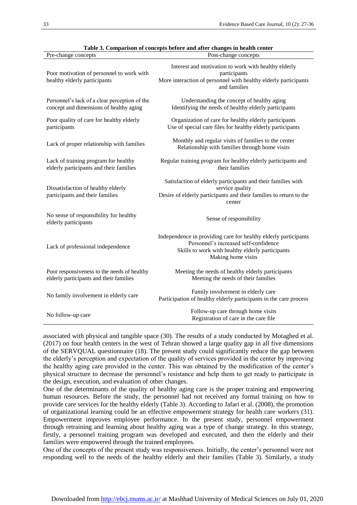| Pre-change concepts                                                                      | Table 5. Comparison of concepts before and after changes in nearly center<br>Post-change concepts                                                                                  |
|------------------------------------------------------------------------------------------|------------------------------------------------------------------------------------------------------------------------------------------------------------------------------------|
|                                                                                          |                                                                                                                                                                                    |
| Poor motivation of personnel to work with<br>healthy elderly participants                | Interest and motivation to work with healthy elderly<br>participants<br>More interaction of personnel with healthy elderly participants<br>and families                            |
| Personnel's lack of a clear perception of the<br>concept and dimensions of healthy aging | Understanding the concept of healthy aging<br>Identifying the needs of healthy elderly participants                                                                                |
| Poor quality of care for healthy elderly<br>participants                                 | Organization of care for healthy elderly participants<br>Use of special care files for healthy elderly participants                                                                |
| Lack of proper relationship with families                                                | Monthly and regular visits of families to the center<br>Relationship with families through home visits                                                                             |
| Lack of training program for healthy<br>elderly participants and their families          | Regular training program for healthy elderly participants and<br>their families                                                                                                    |
| Dissatisfaction of healthy elderly<br>participants and their families                    | Satisfaction of elderly participants and their families with<br>service quality<br>Desire of elderly participants and their families to return to the<br>center                    |
| No sense of responsibility for healthy<br>elderly participants                           | Sense of responsibility                                                                                                                                                            |
| Lack of professional independence                                                        | Independence in providing care for healthy elderly participants<br>Personnel's increased self-confidence<br>Skills to work with healthy elderly participants<br>Making home visits |
| Poor responsiveness to the needs of healthy<br>elderly participants and their families   | Meeting the needs of healthy elderly participants<br>Meeting the needs of their families                                                                                           |
| No family involvement in elderly care                                                    | Family involvement in elderly care<br>Participation of healthy elderly participants in the care process                                                                            |
| No follow-up care                                                                        | Follow-up care through home visits<br>Registration of care in the care file                                                                                                        |

associated with physical and tangible space (30). The results of a study conducted by Motaghed et al. (2017) on four health centers in the west of Tehran showed a large quality gap in all five dimensions of the SERVQUAL questionnaire (18). The present study could significantly reduce the gap between the elderly's perception and expectation of the quality of services provided in the center by improving the healthy aging care provided in the center. This was obtained by the modification of the center's physical structure to decrease the personnel's resistance and help them to get ready to participate in the design, execution, and evaluation of other changes.

One of the determinants of the quality of healthy aging care is the proper training and empowering human resources. Before the study, the personnel had not received any formal training on how to provide care services for the healthy elderly (Table 3). According to Jafari et al. (2008), the promotion of organizational learning could be an effective empowerment strategy for health care workers (31). Empowerment improves employee performance. In the present study, personnel empowerment through retraining and learning about healthy aging was a type of change strategy. In this strategy, firstly, a personnel training program was developed and executed, and then the elderly and their families were empowered through the trained employees.

One of the concepts of the present study was responsiveness. Initially, the center's personnel were not responding well to the needs of the healthy elderly and their families (Table 3). Similarly, a study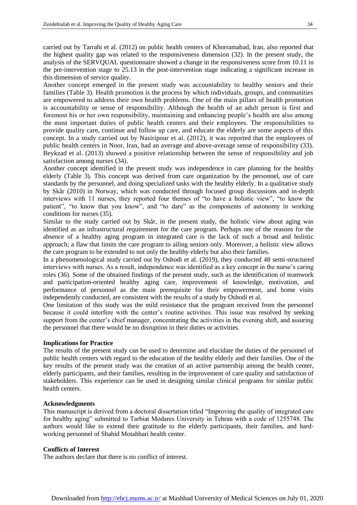carried out by Tarrahi et al. (2012) on public health centers of Khorramabad, Iran, also reported that the highest quality gap was related to the responsiveness dimension (32). In the present study, the analysis of the SERVQUAL questionnaire showed a change in the responsiveness score from 10.11 in the pre-intervention stage to 25.13 in the post-intervention stage indicating a significant increase in this dimension of service quality.

Another concept emerged in the present study was accountability to healthy seniors and their families (Table 3). Health promotion is the process by which individuals, groups, and communities are empowered to address their own health problems. One of the main pillars of health promotion is accountability or sense of responsibility. Although the health of an adult person is first and foremost his or her own responsibility, maintaining and enhancing people's health are also among the most important duties of public health centers and their employees. The responsibilities to provide quality care, continue and follow up care, and educate the elderly are some aspects of this concept. In a study carried out by Nasiripour et al. (2012), it was reported that the employees of public health centers in Noor, Iran, had an average and above-average sense of responsibility (33). Beykzad et al. (2013) showed a positive relationship between the sense of responsibility and job satisfaction among nurses (34).

Another concept identified in the present study was independence in care planning for the healthy elderly (Table 3). This concept was derived from care organization by the personnel, use of care standards by the personnel, and doing specialized tasks with the healthy elderly. In a qualitative study by Skår (2010) in Norway, which was conducted through focused group discussions and in-depth interviews with 11 nurses, they reported four themes of "to have a holistic view", "to know the patient", "to know that you know", and "to dare" as the components of autonomy in working conditions for nurses (35).

Similar to the study carried out by Skår, in the present study, the holistic view about aging was identified as an infrastructural requirement for the care program. Perhaps one of the reasons for the absence of a healthy aging program in integrated care is the lack of such a broad and holistic approach; a flaw that limits the care program to ailing seniors only. Moreover, a holistic view allows the care program to be extended to not only the healthy elderly but also their families.

In a phenomenological study carried out by Oshodi et al. (2019), they conducted 48 semi-structured interviews with nurses. As a result, independence was identified as a key concept in the nurse's caring roles (36). Some of the obtained findings of the present study, such as the identification of teamwork and participation-oriented healthy aging care, improvement of knowledge, motivation, and performance of personnel as the main prerequisite for their empowerment, and home visits independently conducted, are consistent with the results of a study by Oshodi et al.

One limitation of this study was the mild resistance that the program received from the personnel because it could interfere with the center's routine activities. This issue was resolved by seeking support from the center's chief manager, concentrating the activities in the evening shift, and assuring the personnel that there would be no disruption in their duties or activities.

#### **Implications for Practice**

The results of the present study can be used to determine and elucidate the duties of the personnel of public health centers with regard to the education of the healthy elderly and their families. One of the key results of the present study was the creation of an active partnership among the health center, elderly participants, and their families, resulting in the improvement of care quality and satisfaction of stakeholders. This experience can be used in designing similar clinical programs for similar public health centers.

#### **Acknowledgments**

This manuscript is derived from a doctoral dissertation titled "Improving the quality of integrated care for healthy aging" submitted to Tarbiat Modares University in Tehran with a code of 1255748. The authors would like to extend their gratitude to the elderly participants, their families, and hardworking personnel of Shahid Motahhari health center.

#### **Conflicts of Interest**

The authors declare that there is no conflict of interest.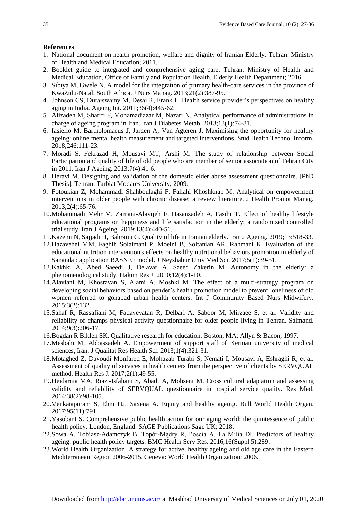## **References**

- 1. National document on health promotion, welfare and dignity of Iranian Elderly. Tehran: Ministry of Health and Medical Education; 2011.
- 2. Booklet guide to integrated and comprehensive aging care. Tehran: Ministry of Health and Medical Education, Office of Family and Population Health, Elderly Health Department; 2016.
- 3. Sibiya M, Gwele N. A model for the integration of primary health‐care services in the province of KwaZulu‐Natal, South Africa. J Nurs Manag. 2013;21(2):387-95.
- 4. Johnson CS, Duraiswamy M, Desai R, Frank L. Health service provider's perspectives on healthy aging in India. Ageing Int. 2011;36(4):445-62.
- 5. Alizadeh M, Sharifi F, Mohamadiazar M, Nazari N. Analytical performance of administrations in charge of ageing program in Iran. Iran J Diabetes Metab. 2013;13(1):74-81.
- 6. Iasiello M, Bartholomaeus J, Jarden A, Van Agteren J. Maximising the opportunity for healthy ageing: online mental health measurement and targeted interventions. Stud Health Technol Inform. 2018;246:111-23.
- 7. Moradi S, Fekrazad H, Mousavi MT, Arshi M. The study of relationship between Social Participation and quality of life of old people who are member of senior association of Tehran City in 2011. Iran J Ageing. 2013;7(4):41-6.
- 8. Heravi M. Designing and validation of the domestic elder abuse assessment questionnaire. [PhD Thesis]. Tehran: Tarbiat Modares University; 2009.
- 9. Fotoukian Z, Mohammadi Shahboulaghi F, Fallahi Khoshknab M. Analytical on empowerment interventions in older people with chronic disease: a review literature. J Health Promot Manag. 2013;2(4):65-76.
- 10.Mohammadi Mehr M, Zamani-Alavijeh F, Hasanzadeh A, Fasihi T. Effect of healthy lifestyle educational programs on happiness and life satisfaction in the elderly: a randomized controlled trial study. Iran J Ageing. 2019;13(4):440-51.
- 11.Kazemi N, Sajjadi H, Bahrami G. Quality of life in Iranian elderly. Iran J Ageing. 2019;13:518-33.
- 12.Hazavehei MM, Faghih Solaimani P, Moeini B, Soltanian AR, Rahmani K. Evaluation of the educational nutrition intervention's effects on healthy nutritional behaviors promotion in elderly of Sanandaj: application BASNEF model. J Neyshabur Univ Med Sci. 2017;5(1):39-51.
- 13.Kakhki A, Abed Saeedi J, Delavar A, Saeed Zakerin M. Autonomy in the elderly: a phenomenological study. Hakim Res J. 2010;12(4):1-10.
- 14.Alaviani M, Khosravan S, Alami A, Moshki M. The effect of a multi-strategy program on developing social behaviors based on pender's health promotion model to prevent loneliness of old women referred to gonabad urban health centers. Int J Community Based Nurs Midwifery. 2015;3(2):132.
- 15.Sahaf R, Rassafiani M, Fadayevatan R, Delbari A, Saboor M, Mirzaee S, et al. Validity and reliability of champs physical activity questionnaire for older people living in Tehran. Salmand. 2014;9(3):206-17.
- 16.Bogdan R Biklen SK. Qualitative research for education. Boston, MA: Allyn & Bacon; 1997.
- 17.Mesbahi M, Abbaszadeh A. Empowerment of support staff of Kerman university of medical sciences, Iran. J Qualitat Res Health Sci. 2013;1(4):321-31.
- 18.Motaghed Z, Davoudi Monfared E, Mohazab Turabi S, Nemati I, Mousavi A, Eshraghi R, et al. Assessment of quality of services in health centers from the perspective of clients by SERVQUAL method. Health Res J. 2017;2(1):49-55.
- 19.Heidarnia MA, Riazi-Isfahani S, Abadi A, Mohseni M. Cross cultural adaptation and assessing validity and reliability of SERVQUAL questionnaire in hospital service quality. Res Med. 2014;38(2):98-105.
- 20.Venkatapuram S, Ehni HJ, Saxena A. Equity and healthy ageing. Bull World Health Organ. 2017;95(11):791.
- 21.Yasobant S. Comprehensive public health action for our aging world: the quintessence of public health policy. London, England: SAGE Publications Sage UK; 2018.
- 22.Sowa A, Tobiasz-Adamczyk B, Topór-Mądry R, Poscia A, La Milia DI. Predictors of healthy ageing: public health policy targets. BMC Health Serv Res. 2016;16(Suppl 5):289.
- 23.World Health Organization. A strategy for active, healthy ageing and old age care in the Eastern Mediterranean Region 2006-2015. Geneva: World Health Organization; 2006.